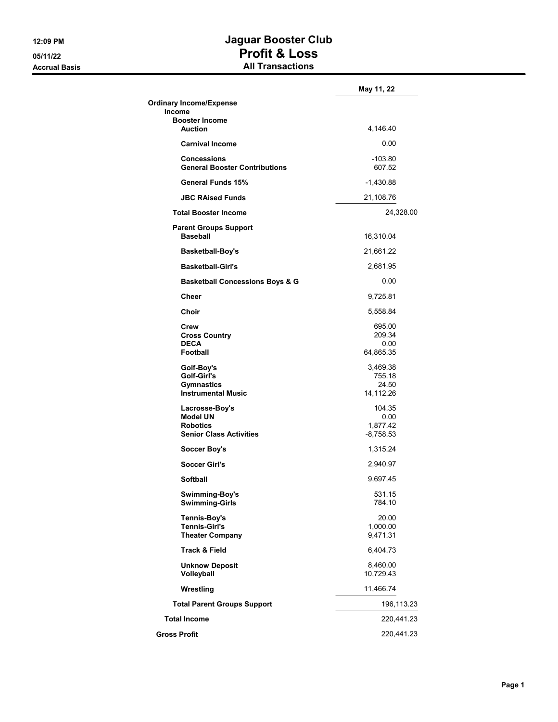## **12:09 PM Jaguar Booster Club 05/11/22 Profit & Loss Accrual Basis All Transactions**

|                                                                                        | May 11, 22                                |
|----------------------------------------------------------------------------------------|-------------------------------------------|
| <b>Ordinary Income/Expense</b><br>Income                                               |                                           |
| <b>Booster Income</b>                                                                  |                                           |
| <b>Auction</b>                                                                         | 4,146.40                                  |
| <b>Carnival Income</b>                                                                 | 0.00                                      |
| <b>Concessions</b><br><b>General Booster Contributions</b>                             | $-103.80$<br>607.52                       |
| <b>General Funds 15%</b>                                                               | -1,430.88                                 |
| <b>JBC RAised Funds</b>                                                                | 21,108.76                                 |
| <b>Total Booster Income</b>                                                            | 24,328.00                                 |
| <b>Parent Groups Support</b><br><b>Baseball</b>                                        | 16,310.04                                 |
| <b>Basketball-Boy's</b>                                                                | 21,661.22                                 |
| <b>Basketball-Girl's</b>                                                               | 2,681.95                                  |
| <b>Basketball Concessions Boys &amp; G</b>                                             | 0.00                                      |
| Cheer                                                                                  | 9,725.81                                  |
| Choir                                                                                  | 5,558.84                                  |
| Crew<br><b>Cross Country</b><br><b>DECA</b><br><b>Football</b>                         | 695.00<br>209.34<br>0.00<br>64,865.35     |
| Golf-Boy's<br>Golf-Girl's<br><b>Gymnastics</b><br><b>Instrumental Music</b>            | 3,469.38<br>755.18<br>24.50<br>14,112.26  |
| Lacrosse-Boy's<br><b>Model UN</b><br><b>Robotics</b><br><b>Senior Class Activities</b> | 104.35<br>0.00<br>1,877.42<br>$-8,758.53$ |
| <b>Soccer Boy's</b>                                                                    | 1,315.24                                  |
| <b>Soccer Girl's</b>                                                                   | 2,940.97                                  |
| <b>Softball</b>                                                                        | 9,697.45                                  |
| Swimming-Boy's<br><b>Swimming-Girls</b>                                                | 531.15<br>784.10                          |
| <b>Tennis-Boy's</b><br><b>Tennis-Girl's</b><br><b>Theater Company</b>                  | 20.00<br>1,000.00<br>9,471.31             |
| <b>Track &amp; Field</b>                                                               | 6,404.73                                  |
| <b>Unknow Deposit</b><br>Volleyball                                                    | 8,460.00<br>10,729.43                     |
| Wrestling                                                                              | 11,466.74                                 |
| <b>Total Parent Groups Support</b>                                                     | 196,113.23                                |
| <b>Total Income</b>                                                                    | 220,441.23                                |
| <b>Gross Profit</b>                                                                    | 220,441.23                                |